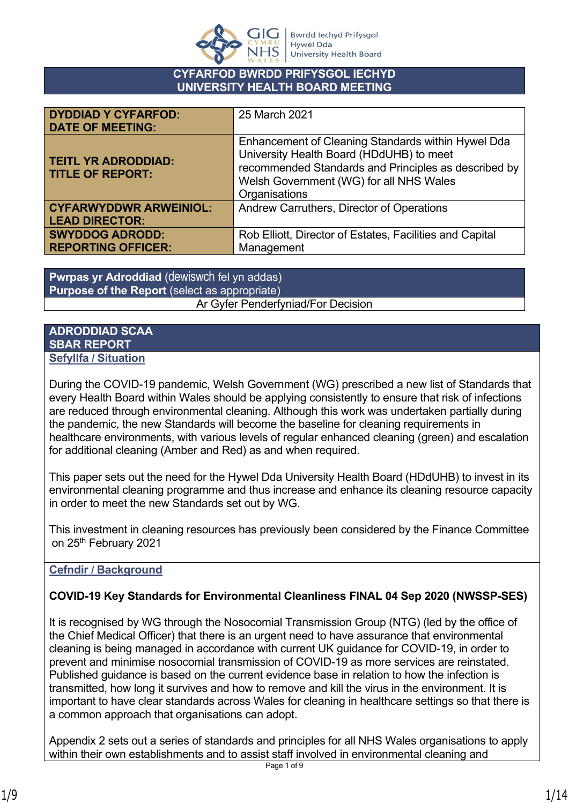

#### **CYFARFOD BWRDD PRIFYSGOL IECHYD UNIVERSITY HEALTH BOARD MEETING**

| <b>DYDDIAD Y CYFARFOD:</b><br><b>DATE OF MEETING:</b>  | 25 March 2021                                                                                                                                                                                                      |
|--------------------------------------------------------|--------------------------------------------------------------------------------------------------------------------------------------------------------------------------------------------------------------------|
| <b>TEITL YR ADRODDIAD:</b><br><b>TITLE OF REPORT:</b>  | Enhancement of Cleaning Standards within Hywel Dda<br>University Health Board (HDdUHB) to meet<br>recommended Standards and Principles as described by<br>Welsh Government (WG) for all NHS Wales<br>Organisations |
| <b>CYFARWYDDWR ARWEINIOL:</b><br><b>LEAD DIRECTOR:</b> | Andrew Carruthers, Director of Operations                                                                                                                                                                          |
| <b>SWYDDOG ADRODD:</b><br><b>REPORTING OFFICER:</b>    | Rob Elliott, Director of Estates, Facilities and Capital<br>Management                                                                                                                                             |

**Pwrpas yr Adroddiad** (dewiswch fel yn addas) **Purpose of the Report** (select as appropriate) Ar Gyfer Penderfyniad/For Decision

#### **ADRODDIAD SCAA SBAR REPORT Sefyllfa / Situation**

During the COVID-19 pandemic, Welsh Government (WG) prescribed a new list of Standards that every Health Board within Wales should be applying consistently to ensure that risk of infections are reduced through environmental cleaning. Although this work was undertaken partially during the pandemic, the new Standards will become the baseline for cleaning requirements in healthcare environments, with various levels of regular enhanced cleaning (green) and escalation for additional cleaning (Amber and Red) as and when required.

This paper sets out the need for the Hywel Dda University Health Board (HDdUHB) to invest in its environmental cleaning programme and thus increase and enhance its cleaning resource capacity in order to meet the new Standards set out by WG.

This investment in cleaning resources has previously been considered by the Finance Committee on 25<sup>th</sup> February 2021

# **Cefndir / Background**

# **COVID-19 Key Standards for Environmental Cleanliness FINAL 04 Sep 2020 (NWSSP-SES)**

It is recognised by WG through the Nosocomial Transmission Group (NTG) (led by the office of the Chief Medical Officer) that there is an urgent need to have assurance that environmental cleaning is being managed in accordance with current UK guidance for COVID-19, in order to prevent and minimise nosocomial transmission of COVID-19 as more services are reinstated. Published guidance is based on the current evidence base in relation to how the infection is transmitted, how long it survives and how to remove and kill the virus in the environment. It is important to have clear standards across Wales for cleaning in healthcare settings so that there is a common approach that organisations can adopt.

Appendix 2 sets out a series of standards and principles for all NHS Wales organisations to apply within their own establishments and to assist staff involved in environmental cleaning and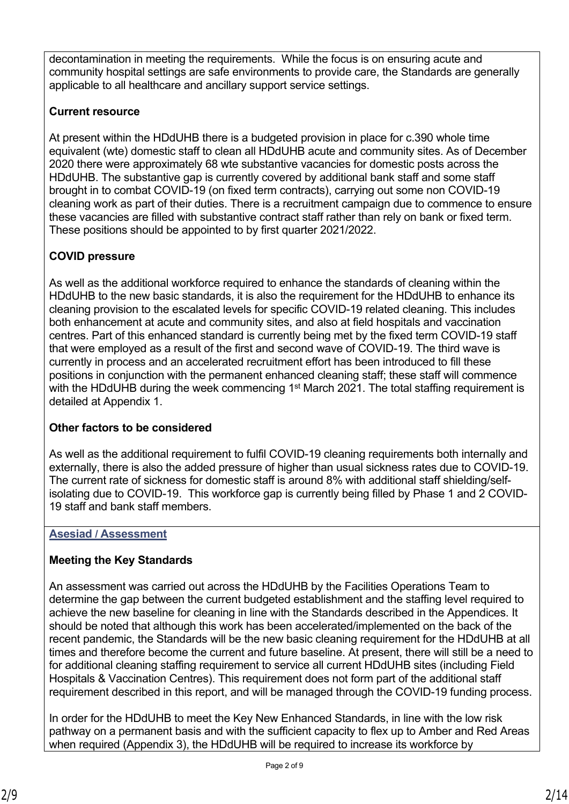decontamination in meeting the requirements. While the focus is on ensuring acute and community hospital settings are safe environments to provide care, the Standards are generally applicable to all healthcare and ancillary support service settings.

### **Current resource**

At present within the HDdUHB there is a budgeted provision in place for c.390 whole time equivalent (wte) domestic staff to clean all HDdUHB acute and community sites. As of December 2020 there were approximately 68 wte substantive vacancies for domestic posts across the HDdUHB. The substantive gap is currently covered by additional bank staff and some staff brought in to combat COVID-19 (on fixed term contracts), carrying out some non COVID-19 cleaning work as part of their duties. There is a recruitment campaign due to commence to ensure these vacancies are filled with substantive contract staff rather than rely on bank or fixed term. These positions should be appointed to by first quarter 2021/2022.

# **COVID pressure**

As well as the additional workforce required to enhance the standards of cleaning within the HDdUHB to the new basic standards, it is also the requirement for the HDdUHB to enhance its cleaning provision to the escalated levels for specific COVID-19 related cleaning. This includes both enhancement at acute and community sites, and also at field hospitals and vaccination centres. Part of this enhanced standard is currently being met by the fixed term COVID-19 staff that were employed as a result of the first and second wave of COVID-19. The third wave is currently in process and an accelerated recruitment effort has been introduced to fill these positions in conjunction with the permanent enhanced cleaning staff; these staff will commence with the HDdUHB during the week commencing 1<sup>st</sup> March 2021. The total staffing requirement is detailed at Appendix 1.

# **Other factors to be considered**

As well as the additional requirement to fulfil COVID-19 cleaning requirements both internally and externally, there is also the added pressure of higher than usual sickness rates due to COVID-19. The current rate of sickness for domestic staff is around 8% with additional staff shielding/selfisolating due to COVID-19. This workforce gap is currently being filled by Phase 1 and 2 COVID-19 staff and bank staff members.

# **Asesiad / Assessment**

# **Meeting the Key Standards**

An assessment was carried out across the HDdUHB by the Facilities Operations Team to determine the gap between the current budgeted establishment and the staffing level required to achieve the new baseline for cleaning in line with the Standards described in the Appendices. It should be noted that although this work has been accelerated/implemented on the back of the recent pandemic, the Standards will be the new basic cleaning requirement for the HDdUHB at all times and therefore become the current and future baseline. At present, there will still be a need to for additional cleaning staffing requirement to service all current HDdUHB sites (including Field Hospitals & Vaccination Centres). This requirement does not form part of the additional staff requirement described in this report, and will be managed through the COVID-19 funding process.

In order for the HDdUHB to meet the Key New Enhanced Standards, in line with the low risk pathway on a permanent basis and with the sufficient capacity to flex up to Amber and Red Areas when required (Appendix 3), the HDdUHB will be required to increase its workforce by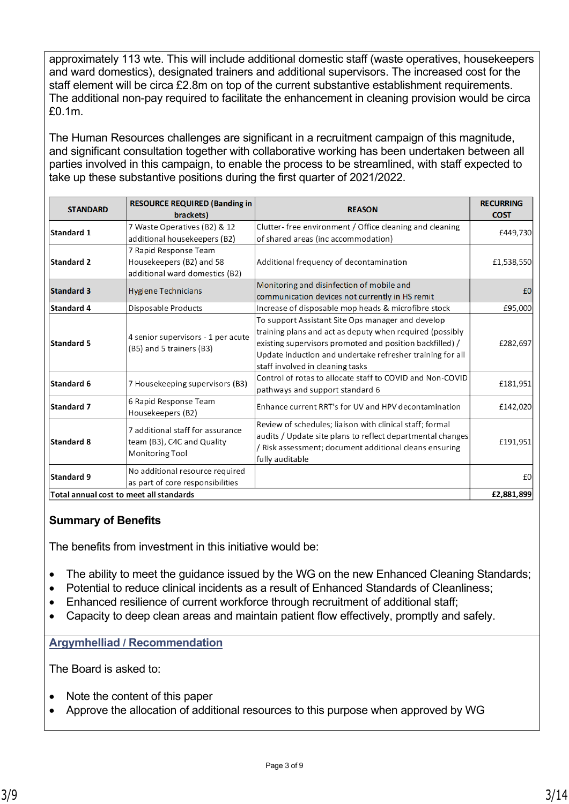approximately 113 wte. This will include additional domestic staff (waste operatives, housekeepers and ward domestics), designated trainers and additional supervisors. The increased cost for the staff element will be circa £2.8m on top of the current substantive establishment requirements. The additional non-pay required to facilitate the enhancement in cleaning provision would be circa £0.1m.

The Human Resources challenges are significant in a recruitment campaign of this magnitude, and significant consultation together with collaborative working has been undertaken between all parties involved in this campaign, to enable the process to be streamlined, with staff expected to take up these substantive positions during the first quarter of 2021/2022.

| <b>STANDARD</b>   | <b>RESOURCE REQUIRED (Banding in)</b><br>brackets)                                  | <b>REASON</b>                                                                                                                                                                                                                                                              | <b>RECURRING</b><br><b>COST</b> |
|-------------------|-------------------------------------------------------------------------------------|----------------------------------------------------------------------------------------------------------------------------------------------------------------------------------------------------------------------------------------------------------------------------|---------------------------------|
| Standard 1        | 7 Waste Operatives (B2) & 12<br>additional housekeepers (B2)                        | Clutter-free environment / Office cleaning and cleaning<br>of shared areas (inc accommodation)                                                                                                                                                                             | £449,730                        |
| <b>Standard 2</b> | 7 Rapid Response Team<br>Housekeepers (B2) and 58<br>additional ward domestics (B2) | Additional frequency of decontamination                                                                                                                                                                                                                                    | £1,538,550                      |
| <b>Standard 3</b> | <b>Hygiene Technicians</b>                                                          | Monitoring and disinfection of mobile and<br>communication devices not currently in HS remit                                                                                                                                                                               | £0                              |
| <b>Standard 4</b> | Disposable Products                                                                 | Increase of disposable mop heads & microfibre stock                                                                                                                                                                                                                        | £95,000                         |
| <b>Standard 5</b> | 4 senior supervisors - 1 per acute<br>(B5) and 5 trainers (B3)                      | To support Assistant Site Ops manager and develop<br>training plans and act as deputy when required (possibly<br>existing supervisors promoted and position backfilled) /<br>Update induction and undertake refresher training for all<br>staff involved in cleaning tasks | £282,697                        |
| Standard 6        | 7 Housekeeping supervisors (B3)                                                     | Control of rotas to allocate staff to COVID and Non-COVID<br>pathways and support standard 6                                                                                                                                                                               | £181,951                        |
| Standard 7        | 6 Rapid Response Team<br>Housekeepers (B2)                                          | Enhance current RRT's for UV and HPV decontamination                                                                                                                                                                                                                       | £142,020                        |
| Standard 8        | 7 additional staff for assurance<br>team (B3), C4C and Quality<br>Monitoring Tool   | Review of schedules; liaison with clinical staff; formal<br>audits / Update site plans to reflect departmental changes<br>/ Risk assessment; document additional cleans ensuring<br>fully auditable                                                                        | £191,951                        |
| Standard 9        | No additional resource required<br>as part of core responsibilities                 |                                                                                                                                                                                                                                                                            | £0                              |
|                   | Total annual cost to meet all standards                                             |                                                                                                                                                                                                                                                                            | £2,881,899                      |

#### **Summary of Benefits**

The benefits from investment in this initiative would be:

- The ability to meet the guidance issued by the WG on the new Enhanced Cleaning Standards;
- Potential to reduce clinical incidents as a result of Enhanced Standards of Cleanliness;
- Enhanced resilience of current workforce through recruitment of additional staff;
- Capacity to deep clean areas and maintain patient flow effectively, promptly and safely.

#### **Argymhelliad / Recommendation**

The Board is asked to:

- Note the content of this paper
- Approve the allocation of additional resources to this purpose when approved by WG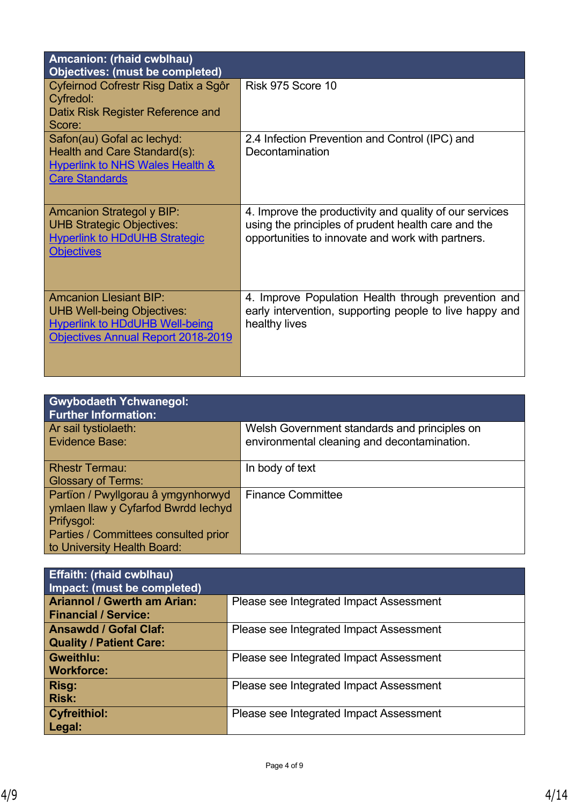| Amcanion: (rhaid cwblhau)<br><b>Objectives: (must be completed)</b>                                                                                      |                                                                                                                                                                     |
|----------------------------------------------------------------------------------------------------------------------------------------------------------|---------------------------------------------------------------------------------------------------------------------------------------------------------------------|
| Cyfeirnod Cofrestr Risg Datix a Sgôr<br><b>Cyfredol:</b><br>Datix Risk Register Reference and<br>Score:                                                  | Risk 975 Score 10                                                                                                                                                   |
| Safon(au) Gofal ac lechyd:<br>Health and Care Standard(s):<br><b>Hyperlink to NHS Wales Health &amp;</b><br><b>Care Standards</b>                        | 2.4 Infection Prevention and Control (IPC) and<br>Decontamination                                                                                                   |
| <b>Amcanion Strategol y BIP:</b><br><b>UHB Strategic Objectives:</b><br><b>Hyperlink to HDdUHB Strategic</b><br><b>Objectives</b>                        | 4. Improve the productivity and quality of our services<br>using the principles of prudent health care and the<br>opportunities to innovate and work with partners. |
| <b>Amcanion Llesiant BIP:</b><br><b>UHB Well-being Objectives:</b><br><b>Hyperlink to HDdUHB Well-being</b><br><b>Objectives Annual Report 2018-2019</b> | 4. Improve Population Health through prevention and<br>early intervention, supporting people to live happy and<br>healthy lives                                     |

| <b>Gwybodaeth Ychwanegol:</b><br><b>Further Information:</b>                                                                                                   |                                                                                             |
|----------------------------------------------------------------------------------------------------------------------------------------------------------------|---------------------------------------------------------------------------------------------|
| Ar sail tystiolaeth:<br><b>Evidence Base:</b>                                                                                                                  | Welsh Government standards and principles on<br>environmental cleaning and decontamination. |
| <b>Rhestr Termau:</b><br><b>Glossary of Terms:</b>                                                                                                             | In body of text                                                                             |
| Partïon / Pwyllgorau â ymgynhorwyd<br>ymlaen llaw y Cyfarfod Bwrdd Iechyd<br>Prifysgol:<br>Parties / Committees consulted prior<br>to University Health Board: | <b>Finance Committee</b>                                                                    |

| <b>Effaith: (rhaid cwblhau)</b><br>Impact: (must be completed)    |                                         |
|-------------------------------------------------------------------|-----------------------------------------|
| <b>Ariannol / Gwerth am Arian:</b><br><b>Financial / Service:</b> | Please see Integrated Impact Assessment |
| <b>Ansawdd / Gofal Claf:</b><br><b>Quality / Patient Care:</b>    | Please see Integrated Impact Assessment |
| <b>Gweithlu:</b><br><b>Workforce:</b>                             | Please see Integrated Impact Assessment |
| Risg:<br><b>Risk:</b>                                             | Please see Integrated Impact Assessment |
| <b>Cyfreithiol:</b><br>Legal:                                     | Please see Integrated Impact Assessment |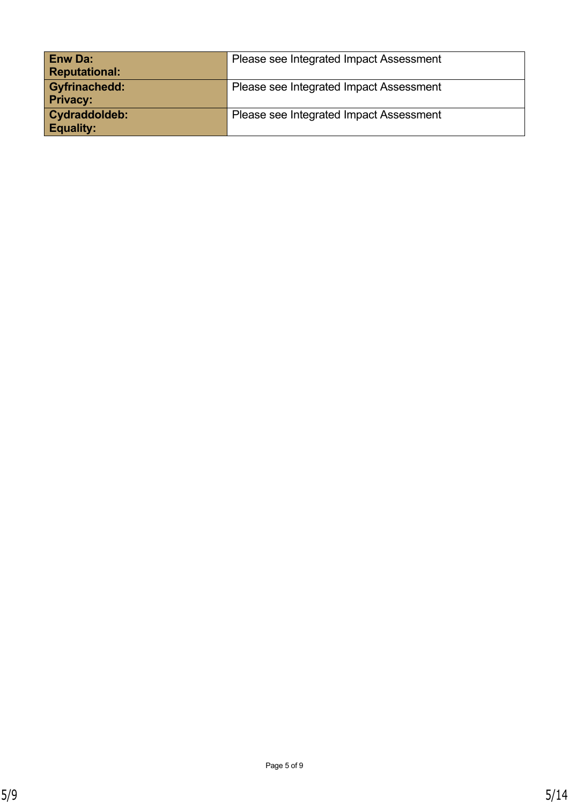| <b>Enw Da:</b>       | Please see Integrated Impact Assessment |
|----------------------|-----------------------------------------|
| <b>Reputational:</b> |                                         |
| <b>Gyfrinachedd:</b> | Please see Integrated Impact Assessment |
| <b>Privacy:</b>      |                                         |
| Cydraddoldeb:        | Please see Integrated Impact Assessment |
| <b>Equality:</b>     |                                         |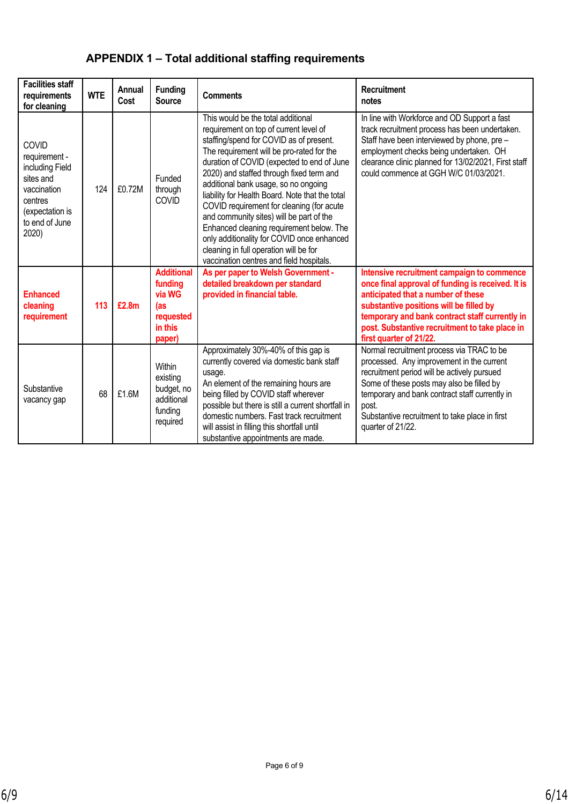# **APPENDIX 1 – Total additional staffing requirements**

| <b>Facilities staff</b><br>requirements<br>for cleaning                                                                        | <b>WTE</b> | Annual<br>Cost | <b>Funding</b><br><b>Source</b>                                                 | <b>Comments</b>                                                                                                                                                                                                                                                                                                                                                                                                                                                                                                                                                                                                                    | Recruitment<br>notes                                                                                                                                                                                                                                                                                                 |
|--------------------------------------------------------------------------------------------------------------------------------|------------|----------------|---------------------------------------------------------------------------------|------------------------------------------------------------------------------------------------------------------------------------------------------------------------------------------------------------------------------------------------------------------------------------------------------------------------------------------------------------------------------------------------------------------------------------------------------------------------------------------------------------------------------------------------------------------------------------------------------------------------------------|----------------------------------------------------------------------------------------------------------------------------------------------------------------------------------------------------------------------------------------------------------------------------------------------------------------------|
| COVID<br>requirement -<br>including Field<br>sites and<br>vaccination<br>centres<br>(expectation is<br>to end of June<br>2020) | 124        | £0.72M         | Funded<br>through<br>COVID                                                      | This would be the total additional<br>requirement on top of current level of<br>staffing/spend for COVID as of present.<br>The requirement will be pro-rated for the<br>duration of COVID (expected to end of June<br>2020) and staffed through fixed term and<br>additional bank usage, so no ongoing<br>liability for Health Board. Note that the total<br>COVID requirement for cleaning (for acute<br>and community sites) will be part of the<br>Enhanced cleaning requirement below. The<br>only additionality for COVID once enhanced<br>cleaning in full operation will be for<br>vaccination centres and field hospitals. | In line with Workforce and OD Support a fast<br>track recruitment process has been undertaken.<br>Staff have been interviewed by phone, pre -<br>employment checks being undertaken. OH<br>clearance clinic planned for 13/02/2021, First staff<br>could commence at GGH W/C 01/03/2021.                             |
| <b>Enhanced</b><br>cleaning<br>requirement                                                                                     | 113        | £2.8m          | <b>Additional</b><br>funding<br>via WG<br>(as<br>requested<br>in this<br>paper) | As per paper to Welsh Government -<br>detailed breakdown per standard<br>provided in financial table.                                                                                                                                                                                                                                                                                                                                                                                                                                                                                                                              | Intensive recruitment campaign to commence<br>once final approval of funding is received. It is<br>anticipated that a number of these<br>substantive positions will be filled by<br>temporary and bank contract staff currently in<br>post. Substantive recruitment to take place in<br>first quarter of 21/22.      |
| Substantive<br>vacancy gap                                                                                                     | 68         | £1.6M          | Within<br>existing<br>budget, no<br>additional<br>funding<br>required           | Approximately 30%-40% of this gap is<br>currently covered via domestic bank staff<br>usage.<br>An element of the remaining hours are<br>being filled by COVID staff wherever<br>possible but there is still a current shortfall in<br>domestic numbers. Fast track recruitment<br>will assist in filling this shortfall until<br>substantive appointments are made.                                                                                                                                                                                                                                                                | Normal recruitment process via TRAC to be<br>processed. Any improvement in the current<br>recruitment period will be actively pursued<br>Some of these posts may also be filled by<br>temporary and bank contract staff currently in<br>post.<br>Substantive recruitment to take place in first<br>quarter of 21/22. |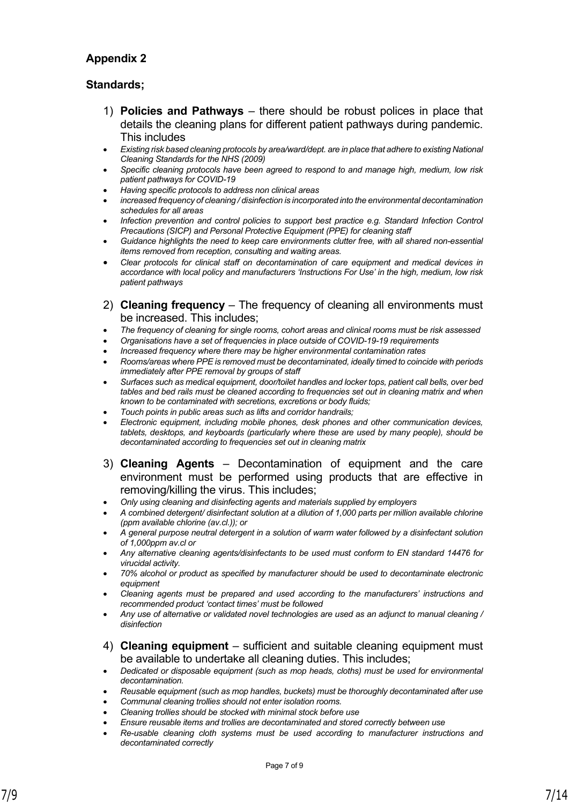#### **Appendix 2**

#### **Standards;**

- 1) **Policies and Pathways** there should be robust polices in place that details the cleaning plans for different patient pathways during pandemic. This includes
- *Existing risk based cleaning protocols by area/ward/dept. are in place that adhere to existing National Cleaning Standards for the NHS (2009)*
- *Specific cleaning protocols have been agreed to respond to and manage high, medium, low risk patient pathways for COVID-19*
- *Having specific protocols to address non clinical areas*
- *increased frequency of cleaning / disinfection is incorporated into the environmental decontamination schedules for all areas*
- *Infection prevention and control policies to support best practice e.g. Standard Infection Control Precautions (SICP) and Personal Protective Equipment (PPE) for cleaning staff*
- *Guidance highlights the need to keep care environments clutter free, with all shared non-essential items removed from reception, consulting and waiting areas.*
- *Clear protocols for clinical staff on decontamination of care equipment and medical devices in accordance with local policy and manufacturers 'Instructions For Use' in the high, medium, low risk patient pathways*
- 2) **Cleaning frequency** The frequency of cleaning all environments must be increased. This includes;
- *The frequency of cleaning for single rooms, cohort areas and clinical rooms must be risk assessed*
- *Organisations have a set of frequencies in place outside of COVID-19-19 requirements*
- *Increased frequency where there may be higher environmental contamination rates*
- *Rooms/areas where PPE is removed must be decontaminated, ideally timed to coincide with periods immediately after PPE removal by groups of staff*
- *Surfaces such as medical equipment, door/toilet handles and locker tops, patient call bells, over bed tables and bed rails must be cleaned according to frequencies set out in cleaning matrix and when known to be contaminated with secretions, excretions or body fluids;*
- *Touch points in public areas such as lifts and corridor handrails;*
- *Electronic equipment, including mobile phones, desk phones and other communication devices, tablets, desktops, and keyboards (particularly where these are used by many people), should be decontaminated according to frequencies set out in cleaning matrix*
- 3) **Cleaning Agents**  Decontamination of equipment and the care environment must be performed using products that are effective in removing/killing the virus. This includes;
- *Only using cleaning and disinfecting agents and materials supplied by employers*
- *A combined detergent/ disinfectant solution at a dilution of 1,000 parts per million available chlorine (ppm available chlorine (av.cl.)); or*
- *A general purpose neutral detergent in a solution of warm water followed by a disinfectant solution of 1,000ppm av.cl or*
- *Any alternative cleaning agents/disinfectants to be used must conform to EN standard 14476 for virucidal activity.*
- *70% alcohol or product as specified by manufacturer should be used to decontaminate electronic equipment*
- *Cleaning agents must be prepared and used according to the manufacturers' instructions and recommended product 'contact times' must be followed*
- *Any use of alternative or validated novel technologies are used as an adjunct to manual cleaning / disinfection*
- 4) **Cleaning equipment**  sufficient and suitable cleaning equipment must be available to undertake all cleaning duties. This includes;
- *Dedicated or disposable equipment (such as mop heads, cloths) must be used for environmental decontamination.*
- *Reusable equipment (such as mop handles, buckets) must be thoroughly decontaminated after use*
- *Communal cleaning trollies should not enter isolation rooms.*
- *Cleaning trollies should be stocked with minimal stock before use*
- *Ensure reusable items and trollies are decontaminated and stored correctly between use*
- *Re-usable cleaning cloth systems must be used according to manufacturer instructions and decontaminated correctly*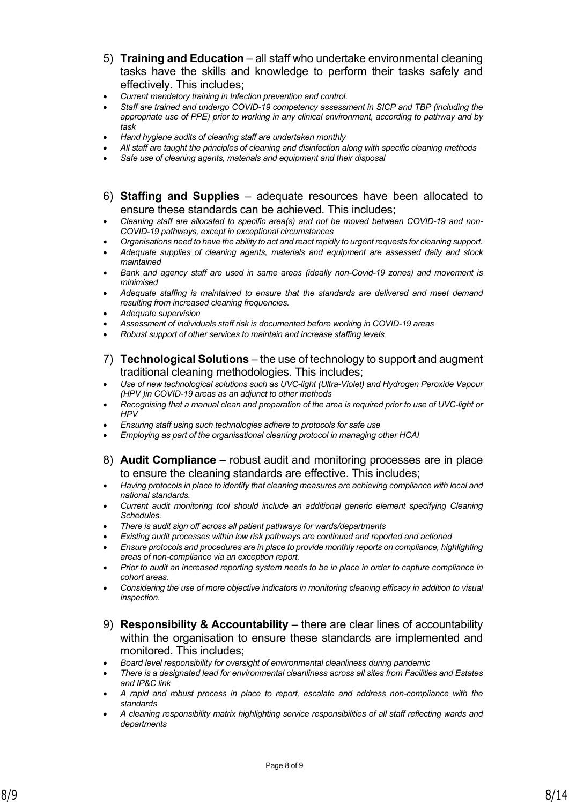- 5) **Training and Education** all staff who undertake environmental cleaning tasks have the skills and knowledge to perform their tasks safely and effectively. This includes;
- *Current mandatory training in Infection prevention and control.*
- *Staff are trained and undergo COVID-19 competency assessment in SICP and TBP (including the appropriate use of PPE) prior to working in any clinical environment, according to pathway and by task*
- *Hand hygiene audits of cleaning staff are undertaken monthly*
- *All staff are taught the principles of cleaning and disinfection along with specific cleaning methods*
- *Safe use of cleaning agents, materials and equipment and their disposal*
- 6) **Staffing and Supplies** adequate resources have been allocated to ensure these standards can be achieved. This includes;
- *Cleaning staff are allocated to specific area(s) and not be moved between COVID-19 and non-COVID-19 pathways, except in exceptional circumstances*
- *Organisations need to have the ability to act and react rapidly to urgent requests for cleaning support.*
- *Adequate supplies of cleaning agents, materials and equipment are assessed daily and stock maintained*
- *Bank and agency staff are used in same areas (ideally non-Covid-19 zones) and movement is minimised*
- *Adequate staffing is maintained to ensure that the standards are delivered and meet demand resulting from increased cleaning frequencies.*
- *Adequate supervision*
- *Assessment of individuals staff risk is documented before working in COVID-19 areas*
- *Robust support of other services to maintain and increase staffing levels*
- 7) **Technological Solutions** the use of technology to support and augment traditional cleaning methodologies. This includes;
- *Use of new technological solutions such as UVC-light (Ultra-Violet) and Hydrogen Peroxide Vapour (HPV )in COVID-19 areas as an adjunct to other methods*
- *Recognising that a manual clean and preparation of the area is required prior to use of UVC-light or HPV*
- *Ensuring staff using such technologies adhere to protocols for safe use*
- *Employing as part of the organisational cleaning protocol in managing other HCAI*
- 8) **Audit Compliance** robust audit and monitoring processes are in place to ensure the cleaning standards are effective. This includes;
- *Having protocols in place to identify that cleaning measures are achieving compliance with local and national standards.*
- *Current audit monitoring tool should include an additional generic element specifying Cleaning Schedules.*
- *There is audit sign off across all patient pathways for wards/departments*
- *Existing audit processes within low risk pathways are continued and reported and actioned*
- *Ensure protocols and procedures are in place to provide monthly reports on compliance, highlighting areas of non-compliance via an exception report.*
- *Prior to audit an increased reporting system needs to be in place in order to capture compliance in cohort areas.*
- *Considering the use of more objective indicators in monitoring cleaning efficacy in addition to visual inspection.*
- 9) **Responsibility & Accountability** there are clear lines of accountability within the organisation to ensure these standards are implemented and monitored. This includes;
- *Board level responsibility for oversight of environmental cleanliness during pandemic*
- *There is a designated lead for environmental cleanliness across all sites from Facilities and Estates and IP&C link*
- *A rapid and robust process in place to report, escalate and address non-compliance with the standards*
- *A cleaning responsibility matrix highlighting service responsibilities of all staff reflecting wards and departments*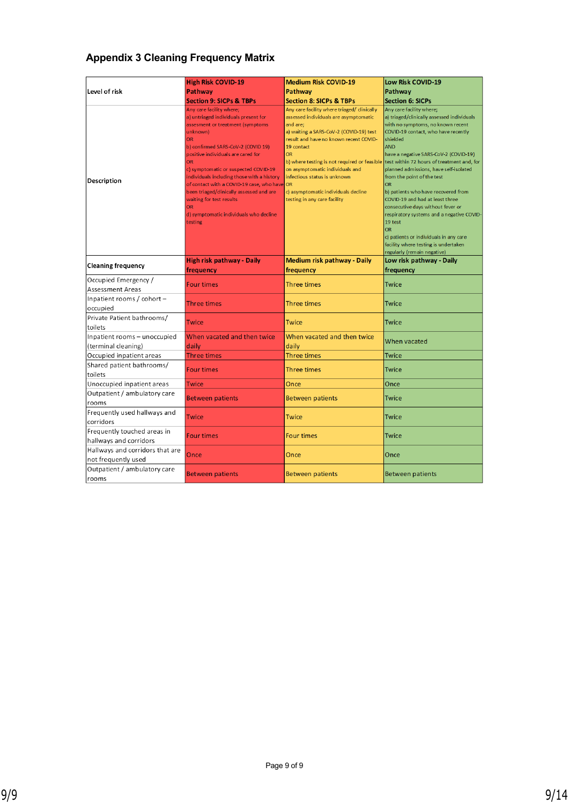#### **Appendix 3 Cleaning Frequency Matrix**

|                                                        | <b>High Risk COVID-19</b>                                                                                                                                                                                                                                                                                                                                                                                                                                                                    | <b>Medium Risk COVID-19</b>                                                                                                                                                                                                                                                                                                                                                                                             | Low Risk COVID-19                                                                                                                                                                                                                                                                                                                                                                                                                                                                                                                                                                                                                                             |
|--------------------------------------------------------|----------------------------------------------------------------------------------------------------------------------------------------------------------------------------------------------------------------------------------------------------------------------------------------------------------------------------------------------------------------------------------------------------------------------------------------------------------------------------------------------|-------------------------------------------------------------------------------------------------------------------------------------------------------------------------------------------------------------------------------------------------------------------------------------------------------------------------------------------------------------------------------------------------------------------------|---------------------------------------------------------------------------------------------------------------------------------------------------------------------------------------------------------------------------------------------------------------------------------------------------------------------------------------------------------------------------------------------------------------------------------------------------------------------------------------------------------------------------------------------------------------------------------------------------------------------------------------------------------------|
| Level of risk                                          | Pathway                                                                                                                                                                                                                                                                                                                                                                                                                                                                                      | Pathway                                                                                                                                                                                                                                                                                                                                                                                                                 | Pathway                                                                                                                                                                                                                                                                                                                                                                                                                                                                                                                                                                                                                                                       |
|                                                        | <b>Section 9: SICPs &amp; TBPs</b>                                                                                                                                                                                                                                                                                                                                                                                                                                                           | <b>Section 8: SICPs &amp; TBPs</b>                                                                                                                                                                                                                                                                                                                                                                                      | <b>Section 6: SICPs</b>                                                                                                                                                                                                                                                                                                                                                                                                                                                                                                                                                                                                                                       |
| <b>Description</b>                                     | Any care facility where;<br>a) untriaged individuals present for<br>assesment or treatment (symptoms<br>unknown)<br><b>OR</b><br>b) confirmed SARS-CoV-2 (COVID 19)<br>positive individuals are cared for<br><b>OR</b><br>c) symptomatic or suspected COVID-19<br>individuals including those with a history<br>of contact with a COVID-19 case, who have<br>been triaged/clinically assessed and are<br>waiting for test results<br>OR<br>d) symptomatic individuals who decline<br>testing | Any care facility where triaged/ clinically<br>assessed individuals are asymptomatic<br>and are;<br>a) waiting a SARS-CoV-2 (COVID-19) test<br>result and have no known recent COVID-<br>19 contact<br><b>OR</b><br>b) where testing is not required or feasible<br>on asymptomatic individuals and<br>infectious status is unknown<br><b>OR</b><br>c) asymptomatic individuals decline<br>testing in any care facility | Any care facility where;<br>a) triaged/clinically assessed individuals<br>with no symptoms, no known recent<br>COVID-19 contact, who have recently<br>shielded<br><b>AND</b><br>have a negative SARS-CoV-2 (COVID-19)<br>test within 72 hours of treatment and, for<br>planned admissions, have self-isolated<br>from the point of the test<br><b>OR</b><br>b) patients who have recovered from<br>COVID-19 and had at least three<br>consecutive days without fever or<br>respiratory systems and a negative COVID-<br>19 test<br><b>OR</b><br>c) patients or individuals in any care<br>facility where testing is undertaken<br>regularly (remain negative) |
| <b>Cleaning frequency</b>                              | High risk pathway - Daily<br>frequency                                                                                                                                                                                                                                                                                                                                                                                                                                                       | <b>Medium risk pathway - Daily</b><br>frequency                                                                                                                                                                                                                                                                                                                                                                         | Low risk pathway - Daily<br>frequency                                                                                                                                                                                                                                                                                                                                                                                                                                                                                                                                                                                                                         |
| Occupied Emergency /<br><b>Assessment Areas</b>        | <b>Four times</b>                                                                                                                                                                                                                                                                                                                                                                                                                                                                            | Three times                                                                                                                                                                                                                                                                                                                                                                                                             | <b>Twice</b>                                                                                                                                                                                                                                                                                                                                                                                                                                                                                                                                                                                                                                                  |
| Inpatient rooms / cohort $-$<br>occupied               | <b>Three times</b>                                                                                                                                                                                                                                                                                                                                                                                                                                                                           | Three times                                                                                                                                                                                                                                                                                                                                                                                                             | <b>Twice</b>                                                                                                                                                                                                                                                                                                                                                                                                                                                                                                                                                                                                                                                  |
| Private Patient bathrooms/<br>toilets                  | Twice                                                                                                                                                                                                                                                                                                                                                                                                                                                                                        | <b>Twice</b>                                                                                                                                                                                                                                                                                                                                                                                                            | <b>Twice</b>                                                                                                                                                                                                                                                                                                                                                                                                                                                                                                                                                                                                                                                  |
| Inpatient rooms - unoccupied<br>(terminal cleaning)    | When vacated and then twice<br>daily                                                                                                                                                                                                                                                                                                                                                                                                                                                         | When vacated and then twice<br>daily                                                                                                                                                                                                                                                                                                                                                                                    | When vacated                                                                                                                                                                                                                                                                                                                                                                                                                                                                                                                                                                                                                                                  |
| Occupied inpatient areas                               | <b>Three times</b>                                                                                                                                                                                                                                                                                                                                                                                                                                                                           | <b>Three times</b>                                                                                                                                                                                                                                                                                                                                                                                                      | <b>Twice</b>                                                                                                                                                                                                                                                                                                                                                                                                                                                                                                                                                                                                                                                  |
| Shared patient bathrooms/<br>toilets                   | <b>Four times</b>                                                                                                                                                                                                                                                                                                                                                                                                                                                                            | Three times                                                                                                                                                                                                                                                                                                                                                                                                             | Twice                                                                                                                                                                                                                                                                                                                                                                                                                                                                                                                                                                                                                                                         |
| Unoccupied inpatient areas                             | <b>Twice</b>                                                                                                                                                                                                                                                                                                                                                                                                                                                                                 | Once                                                                                                                                                                                                                                                                                                                                                                                                                    | Once                                                                                                                                                                                                                                                                                                                                                                                                                                                                                                                                                                                                                                                          |
| Outpatient / ambulatory care<br>rooms                  | <b>Between patients</b>                                                                                                                                                                                                                                                                                                                                                                                                                                                                      | <b>Between patients</b>                                                                                                                                                                                                                                                                                                                                                                                                 | Twice                                                                                                                                                                                                                                                                                                                                                                                                                                                                                                                                                                                                                                                         |
| Frequently used hallways and<br>corridors              | <b>Twice</b>                                                                                                                                                                                                                                                                                                                                                                                                                                                                                 | <b>Twice</b>                                                                                                                                                                                                                                                                                                                                                                                                            | <b>Twice</b>                                                                                                                                                                                                                                                                                                                                                                                                                                                                                                                                                                                                                                                  |
| Frequently touched areas in<br>hallways and corridors  | <b>Four times</b>                                                                                                                                                                                                                                                                                                                                                                                                                                                                            | <b>Four times</b>                                                                                                                                                                                                                                                                                                                                                                                                       | <b>Twice</b>                                                                                                                                                                                                                                                                                                                                                                                                                                                                                                                                                                                                                                                  |
| Hallways and corridors that are<br>not frequently used | Once                                                                                                                                                                                                                                                                                                                                                                                                                                                                                         | Once                                                                                                                                                                                                                                                                                                                                                                                                                    | Once                                                                                                                                                                                                                                                                                                                                                                                                                                                                                                                                                                                                                                                          |
| Outpatient / ambulatory care<br>rooms                  | <b>Between patients</b>                                                                                                                                                                                                                                                                                                                                                                                                                                                                      | <b>Between patients</b>                                                                                                                                                                                                                                                                                                                                                                                                 | <b>Between patients</b>                                                                                                                                                                                                                                                                                                                                                                                                                                                                                                                                                                                                                                       |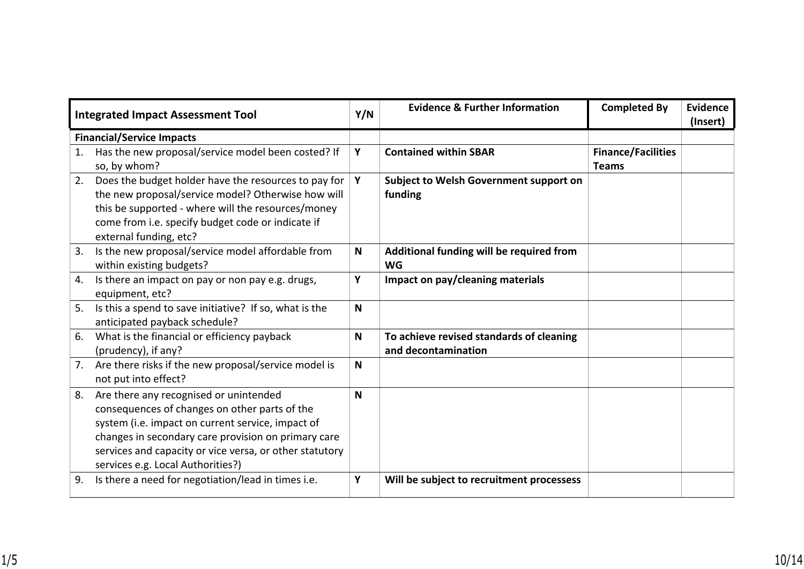| <b>Integrated Impact Assessment Tool</b> |                                                                                                                                                                                                                                                                                                     | Y/N          | <b>Evidence &amp; Further Information</b>                       | <b>Completed By</b>                       | <b>Evidence</b><br>(Insert) |
|------------------------------------------|-----------------------------------------------------------------------------------------------------------------------------------------------------------------------------------------------------------------------------------------------------------------------------------------------------|--------------|-----------------------------------------------------------------|-------------------------------------------|-----------------------------|
|                                          | <b>Financial/Service Impacts</b>                                                                                                                                                                                                                                                                    |              |                                                                 |                                           |                             |
| 1.                                       | Has the new proposal/service model been costed? If<br>so, by whom?                                                                                                                                                                                                                                  | Y            | <b>Contained within SBAR</b>                                    | <b>Finance/Facilities</b><br><b>Teams</b> |                             |
| 2.                                       | Does the budget holder have the resources to pay for<br>the new proposal/service model? Otherwise how will<br>this be supported - where will the resources/money<br>come from i.e. specify budget code or indicate if<br>external funding, etc?                                                     | Y            | Subject to Welsh Government support on<br>funding               |                                           |                             |
| 3.                                       | Is the new proposal/service model affordable from<br>within existing budgets?                                                                                                                                                                                                                       | $\mathsf{N}$ | Additional funding will be required from<br><b>WG</b>           |                                           |                             |
| 4.                                       | Is there an impact on pay or non pay e.g. drugs,<br>equipment, etc?                                                                                                                                                                                                                                 | Υ            | Impact on pay/cleaning materials                                |                                           |                             |
| 5.                                       | Is this a spend to save initiative? If so, what is the<br>anticipated payback schedule?                                                                                                                                                                                                             | N            |                                                                 |                                           |                             |
| 6.                                       | What is the financial or efficiency payback<br>(prudency), if any?                                                                                                                                                                                                                                  | N            | To achieve revised standards of cleaning<br>and decontamination |                                           |                             |
|                                          | 7. Are there risks if the new proposal/service model is<br>not put into effect?                                                                                                                                                                                                                     | N            |                                                                 |                                           |                             |
| 8.                                       | Are there any recognised or unintended<br>consequences of changes on other parts of the<br>system (i.e. impact on current service, impact of<br>changes in secondary care provision on primary care<br>services and capacity or vice versa, or other statutory<br>services e.g. Local Authorities?) | N            |                                                                 |                                           |                             |
| 9.                                       | Is there a need for negotiation/lead in times i.e.                                                                                                                                                                                                                                                  | Υ            | Will be subject to recruitment processess                       |                                           |                             |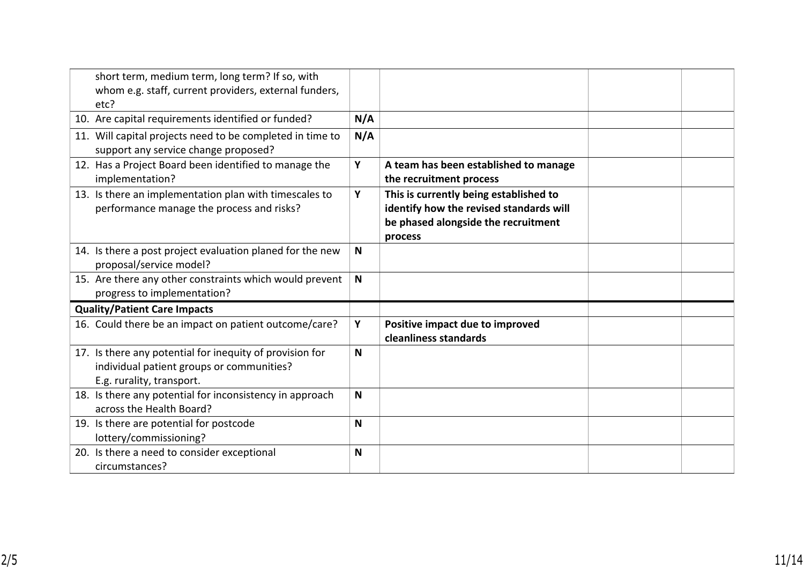| short term, medium term, long term? If so, with<br>whom e.g. staff, current providers, external funders,                           |             |                                                                                                                                     |  |
|------------------------------------------------------------------------------------------------------------------------------------|-------------|-------------------------------------------------------------------------------------------------------------------------------------|--|
| etc?                                                                                                                               |             |                                                                                                                                     |  |
| 10. Are capital requirements identified or funded?                                                                                 | N/A         |                                                                                                                                     |  |
| 11. Will capital projects need to be completed in time to<br>support any service change proposed?                                  | N/A         |                                                                                                                                     |  |
| 12. Has a Project Board been identified to manage the<br>implementation?                                                           | Y           | A team has been established to manage<br>the recruitment process                                                                    |  |
| 13. Is there an implementation plan with timescales to<br>performance manage the process and risks?                                | Y           | This is currently being established to<br>identify how the revised standards will<br>be phased alongside the recruitment<br>process |  |
| 14. Is there a post project evaluation planed for the new<br>proposal/service model?                                               | N           |                                                                                                                                     |  |
| 15. Are there any other constraints which would prevent<br>progress to implementation?                                             | $\mathbf N$ |                                                                                                                                     |  |
| <b>Quality/Patient Care Impacts</b>                                                                                                |             |                                                                                                                                     |  |
| 16. Could there be an impact on patient outcome/care?                                                                              | Y           | Positive impact due to improved<br>cleanliness standards                                                                            |  |
| 17. Is there any potential for inequity of provision for<br>individual patient groups or communities?<br>E.g. rurality, transport. | N           |                                                                                                                                     |  |
| 18. Is there any potential for inconsistency in approach<br>across the Health Board?                                               | N           |                                                                                                                                     |  |
| 19. Is there are potential for postcode<br>lottery/commissioning?                                                                  | N           |                                                                                                                                     |  |
| 20. Is there a need to consider exceptional<br>circumstances?                                                                      | N           |                                                                                                                                     |  |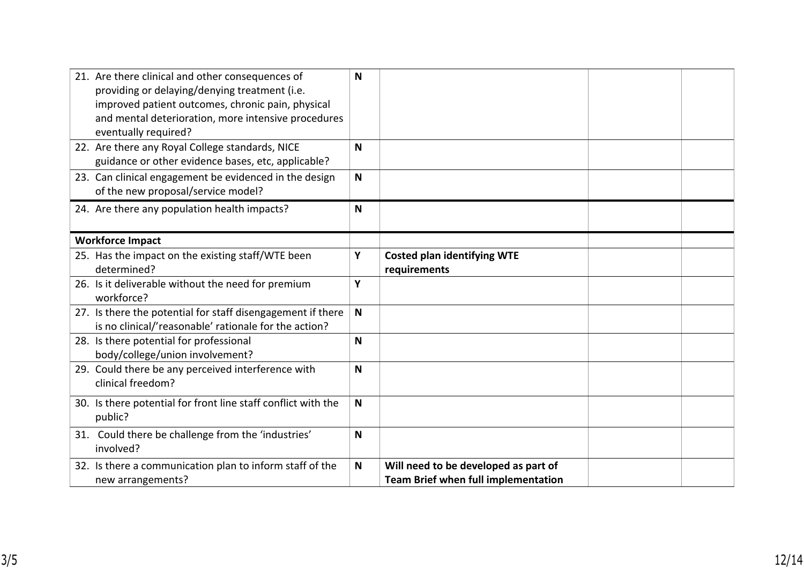| 21. Are there clinical and other consequences of<br>providing or delaying/denying treatment (i.e.<br>improved patient outcomes, chronic pain, physical<br>and mental deterioration, more intensive procedures<br>eventually required? | N            |                                                                                    |  |
|---------------------------------------------------------------------------------------------------------------------------------------------------------------------------------------------------------------------------------------|--------------|------------------------------------------------------------------------------------|--|
| 22. Are there any Royal College standards, NICE<br>guidance or other evidence bases, etc, applicable?                                                                                                                                 | N            |                                                                                    |  |
| 23. Can clinical engagement be evidenced in the design<br>of the new proposal/service model?                                                                                                                                          | N            |                                                                                    |  |
| 24. Are there any population health impacts?                                                                                                                                                                                          | N            |                                                                                    |  |
| <b>Workforce Impact</b>                                                                                                                                                                                                               |              |                                                                                    |  |
| 25. Has the impact on the existing staff/WTE been<br>determined?                                                                                                                                                                      | Υ            | <b>Costed plan identifying WTE</b><br>requirements                                 |  |
| 26. Is it deliverable without the need for premium<br>workforce?                                                                                                                                                                      | Υ            |                                                                                    |  |
| 27. Is there the potential for staff disengagement if there<br>is no clinical/'reasonable' rationale for the action?                                                                                                                  | $\mathsf{N}$ |                                                                                    |  |
| 28. Is there potential for professional<br>body/college/union involvement?                                                                                                                                                            | N            |                                                                                    |  |
| 29. Could there be any perceived interference with<br>clinical freedom?                                                                                                                                                               | N            |                                                                                    |  |
| 30. Is there potential for front line staff conflict with the<br>public?                                                                                                                                                              | $\mathsf{N}$ |                                                                                    |  |
| 31. Could there be challenge from the 'industries'<br>involved?                                                                                                                                                                       | N            |                                                                                    |  |
| 32. Is there a communication plan to inform staff of the<br>new arrangements?                                                                                                                                                         | $\mathsf{N}$ | Will need to be developed as part of<br><b>Team Brief when full implementation</b> |  |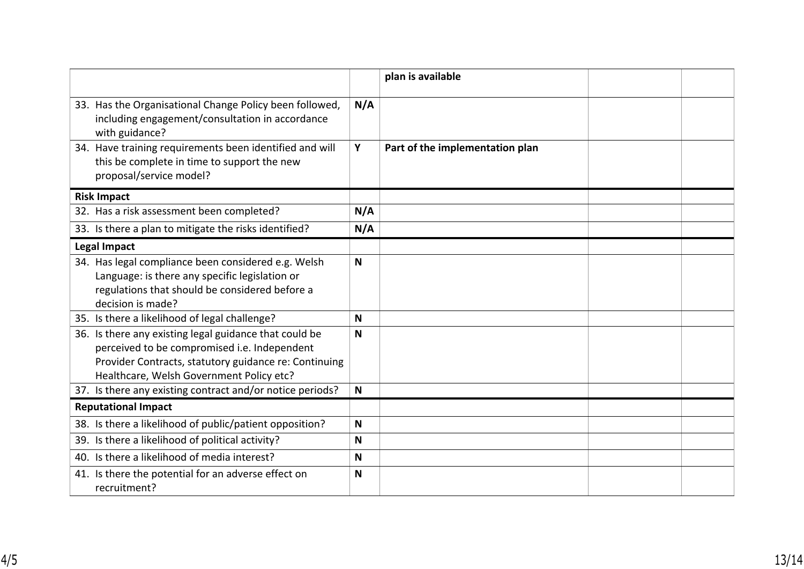|                                                                                                                                                                                                             |     | plan is available               |  |
|-------------------------------------------------------------------------------------------------------------------------------------------------------------------------------------------------------------|-----|---------------------------------|--|
| 33. Has the Organisational Change Policy been followed,<br>including engagement/consultation in accordance<br>with guidance?                                                                                | N/A |                                 |  |
| 34. Have training requirements been identified and will<br>this be complete in time to support the new<br>proposal/service model?                                                                           | Y   | Part of the implementation plan |  |
| <b>Risk Impact</b>                                                                                                                                                                                          |     |                                 |  |
| 32. Has a risk assessment been completed?                                                                                                                                                                   | N/A |                                 |  |
| 33. Is there a plan to mitigate the risks identified?                                                                                                                                                       | N/A |                                 |  |
| <b>Legal Impact</b>                                                                                                                                                                                         |     |                                 |  |
| 34. Has legal compliance been considered e.g. Welsh<br>Language: is there any specific legislation or<br>regulations that should be considered before a<br>decision is made?                                | N   |                                 |  |
| 35. Is there a likelihood of legal challenge?                                                                                                                                                               | N   |                                 |  |
| 36. Is there any existing legal guidance that could be<br>perceived to be compromised i.e. Independent<br>Provider Contracts, statutory guidance re: Continuing<br>Healthcare, Welsh Government Policy etc? | N   |                                 |  |
| 37. Is there any existing contract and/or notice periods?                                                                                                                                                   | N   |                                 |  |
| <b>Reputational Impact</b>                                                                                                                                                                                  |     |                                 |  |
| 38. Is there a likelihood of public/patient opposition?                                                                                                                                                     | N   |                                 |  |
| 39. Is there a likelihood of political activity?                                                                                                                                                            | N   |                                 |  |
| 40. Is there a likelihood of media interest?                                                                                                                                                                | N   |                                 |  |
| 41. Is there the potential for an adverse effect on<br>recruitment?                                                                                                                                         | N   |                                 |  |